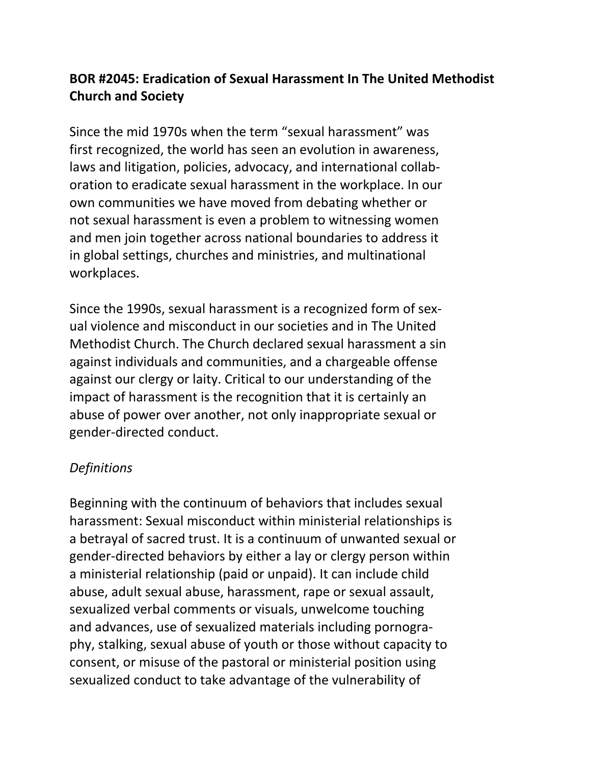## **BOR #2045: Eradication of Sexual Harassment In The United Methodist Church and Society**

Since the mid 1970s when the term "sexual harassment" was first recognized, the world has seen an evolution in awareness, laws and litigation, policies, advocacy, and international collaboration to eradicate sexual harassment in the workplace. In our own communities we have moved from debating whether or not sexual harassment is even a problem to witnessing women and men join together across national boundaries to address it in global settings, churches and ministries, and multinational workplaces.

Since the 1990s, sexual harassment is a recognized form of sexual violence and misconduct in our societies and in The United Methodist Church. The Church declared sexual harassment a sin against individuals and communities, and a chargeable offense against our clergy or laity. Critical to our understanding of the impact of harassment is the recognition that it is certainly an abuse of power over another, not only inappropriate sexual or gender-directed conduct.

## *Definitions*

Beginning with the continuum of behaviors that includes sexual harassment: Sexual misconduct within ministerial relationships is a betrayal of sacred trust. It is a continuum of unwanted sexual or gender-directed behaviors by either a lay or clergy person within a ministerial relationship (paid or unpaid). It can include child abuse, adult sexual abuse, harassment, rape or sexual assault, sexualized verbal comments or visuals, unwelcome touching and advances, use of sexualized materials including pornography, stalking, sexual abuse of youth or those without capacity to consent, or misuse of the pastoral or ministerial position using sexualized conduct to take advantage of the vulnerability of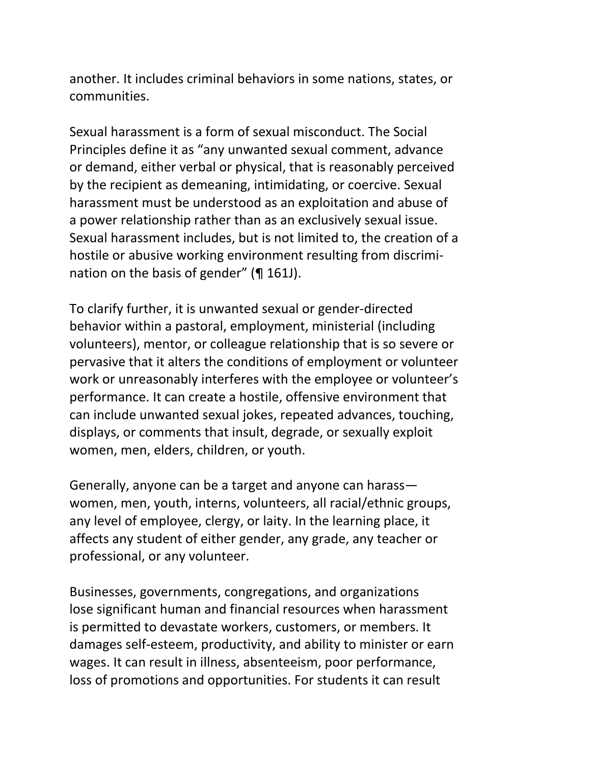another. It includes criminal behaviors in some nations, states, or communities.

Sexual harassment is a form of sexual misconduct. The Social Principles define it as "any unwanted sexual comment, advance or demand, either verbal or physical, that is reasonably perceived by the recipient as demeaning, intimidating, or coercive. Sexual harassment must be understood as an exploitation and abuse of a power relationship rather than as an exclusively sexual issue. Sexual harassment includes, but is not limited to, the creation of a hostile or abusive working environment resulting from discrimination on the basis of gender" (¶ 161J).

To clarify further, it is unwanted sexual or gender-directed behavior within a pastoral, employment, ministerial (including volunteers), mentor, or colleague relationship that is so severe or pervasive that it alters the conditions of employment or volunteer work or unreasonably interferes with the employee or volunteer's performance. It can create a hostile, offensive environment that can include unwanted sexual jokes, repeated advances, touching, displays, or comments that insult, degrade, or sexually exploit women, men, elders, children, or youth.

Generally, anyone can be a target and anyone can harass women, men, youth, interns, volunteers, all racial/ethnic groups, any level of employee, clergy, or laity. In the learning place, it affects any student of either gender, any grade, any teacher or professional, or any volunteer.

Businesses, governments, congregations, and organizations lose significant human and financial resources when harassment is permitted to devastate workers, customers, or members. It damages self-esteem, productivity, and ability to minister or earn wages. It can result in illness, absenteeism, poor performance, loss of promotions and opportunities. For students it can result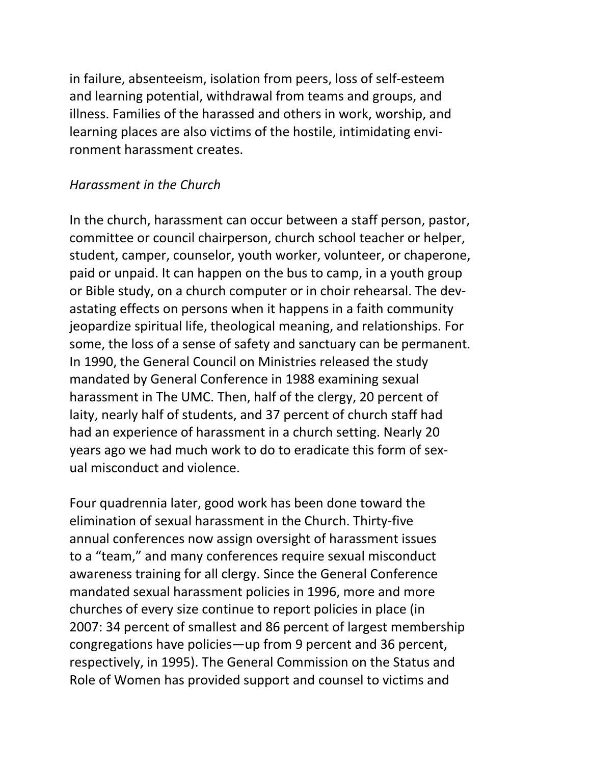in failure, absenteeism, isolation from peers, loss of self-esteem and learning potential, withdrawal from teams and groups, and illness. Families of the harassed and others in work, worship, and learning places are also victims of the hostile, intimidating environment harassment creates.

## *Harassment in the Church*

In the church, harassment can occur between a staff person, pastor, committee or council chairperson, church school teacher or helper, student, camper, counselor, youth worker, volunteer, or chaperone, paid or unpaid. It can happen on the bus to camp, in a youth group or Bible study, on a church computer or in choir rehearsal. The devastating effects on persons when it happens in a faith community jeopardize spiritual life, theological meaning, and relationships. For some, the loss of a sense of safety and sanctuary can be permanent. In 1990, the General Council on Ministries released the study mandated by General Conference in 1988 examining sexual harassment in The UMC. Then, half of the clergy, 20 percent of laity, nearly half of students, and 37 percent of church staff had had an experience of harassment in a church setting. Nearly 20 years ago we had much work to do to eradicate this form of sexual misconduct and violence.

Four quadrennia later, good work has been done toward the elimination of sexual harassment in the Church. Thirty-five annual conferences now assign oversight of harassment issues to a "team," and many conferences require sexual misconduct awareness training for all clergy. Since the General Conference mandated sexual harassment policies in 1996, more and more churches of every size continue to report policies in place (in 2007: 34 percent of smallest and 86 percent of largest membership congregations have policies—up from 9 percent and 36 percent, respectively, in 1995). The General Commission on the Status and Role of Women has provided support and counsel to victims and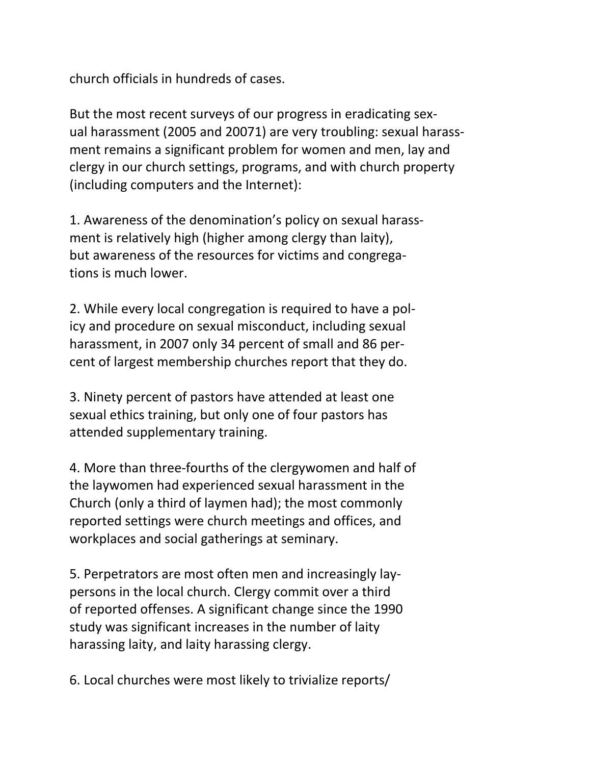church officials in hundreds of cases.

But the most recent surveys of our progress in eradicating sexual harassment (2005 and 20071) are very troubling: sexual harassment remains a significant problem for women and men, lay and clergy in our church settings, programs, and with church property (including computers and the Internet):

1. Awareness of the denomination's policy on sexual harassment is relatively high (higher among clergy than laity), but awareness of the resources for victims and congregations is much lower.

2. While every local congregation is required to have a policy and procedure on sexual misconduct, including sexual harassment, in 2007 only 34 percent of small and 86 percent of largest membership churches report that they do.

3. Ninety percent of pastors have attended at least one sexual ethics training, but only one of four pastors has attended supplementary training.

4. More than three-fourths of the clergywomen and half of the laywomen had experienced sexual harassment in the Church (only a third of laymen had); the most commonly reported settings were church meetings and offices, and workplaces and social gatherings at seminary.

5. Perpetrators are most often men and increasingly laypersons in the local church. Clergy commit over a third of reported offenses. A significant change since the 1990 study was significant increases in the number of laity harassing laity, and laity harassing clergy.

6. Local churches were most likely to trivialize reports/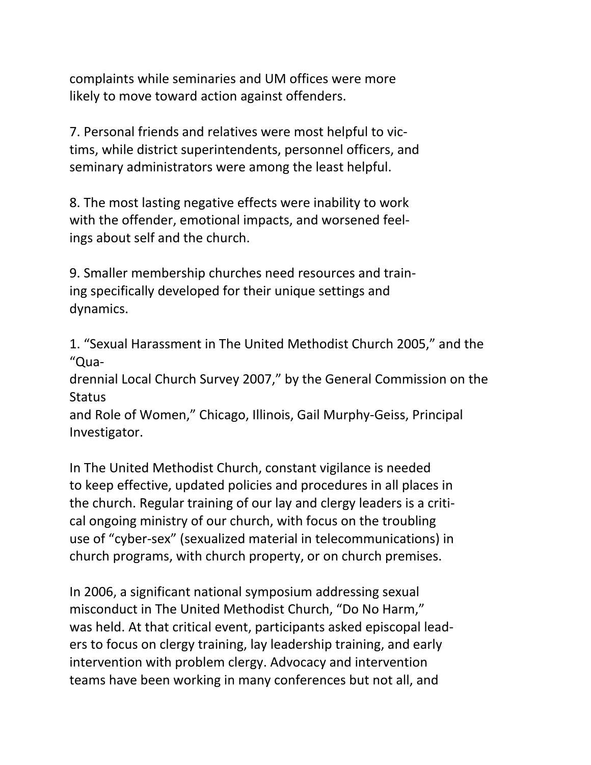complaints while seminaries and UM offices were more likely to move toward action against offenders.

7. Personal friends and relatives were most helpful to victims, while district superintendents, personnel officers, and seminary administrators were among the least helpful.

8. The most lasting negative effects were inability to work with the offender, emotional impacts, and worsened feelings about self and the church.

9. Smaller membership churches need resources and training specifically developed for their unique settings and dynamics.

1. "Sexual Harassment in The United Methodist Church 2005," and the "Qua-

drennial Local Church Survey 2007," by the General Commission on the **Status** 

and Role of Women," Chicago, Illinois, Gail Murphy-Geiss, Principal Investigator.

In The United Methodist Church, constant vigilance is needed to keep effective, updated policies and procedures in all places in the church. Regular training of our lay and clergy leaders is a critical ongoing ministry of our church, with focus on the troubling use of "cyber-sex" (sexualized material in telecommunications) in church programs, with church property, or on church premises.

In 2006, a significant national symposium addressing sexual misconduct in The United Methodist Church, "Do No Harm," was held. At that critical event, participants asked episcopal leaders to focus on clergy training, lay leadership training, and early intervention with problem clergy. Advocacy and intervention teams have been working in many conferences but not all, and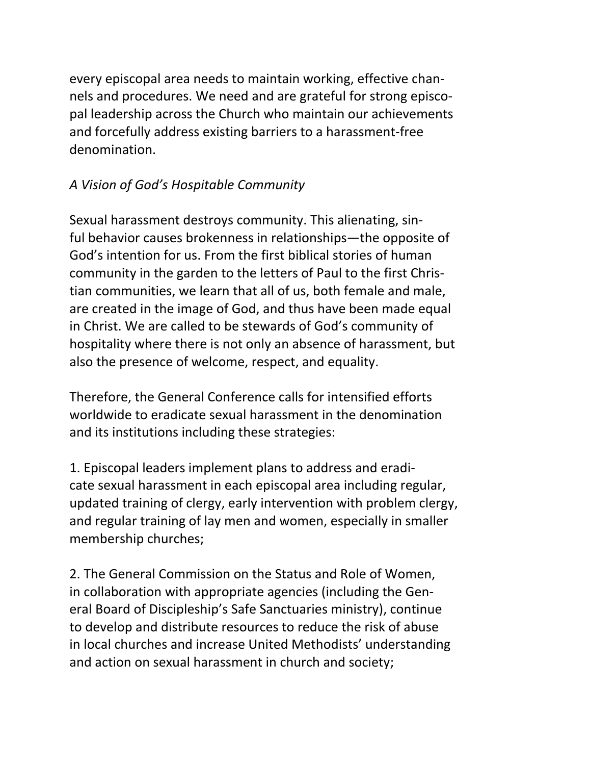every episcopal area needs to maintain working, effective channels and procedures. We need and are grateful for strong episcopal leadership across the Church who maintain our achievements and forcefully address existing barriers to a harassment-free denomination.

## *A Vision of God's Hospitable Community*

Sexual harassment destroys community. This alienating, sinful behavior causes brokenness in relationships—the opposite of God's intention for us. From the first biblical stories of human community in the garden to the letters of Paul to the first Christian communities, we learn that all of us, both female and male, are created in the image of God, and thus have been made equal in Christ. We are called to be stewards of God's community of hospitality where there is not only an absence of harassment, but also the presence of welcome, respect, and equality.

Therefore, the General Conference calls for intensified efforts worldwide to eradicate sexual harassment in the denomination and its institutions including these strategies:

1. Episcopal leaders implement plans to address and eradicate sexual harassment in each episcopal area including regular, updated training of clergy, early intervention with problem clergy, and regular training of lay men and women, especially in smaller membership churches;

2. The General Commission on the Status and Role of Women, in collaboration with appropriate agencies (including the General Board of Discipleship's Safe Sanctuaries ministry), continue to develop and distribute resources to reduce the risk of abuse in local churches and increase United Methodists' understanding and action on sexual harassment in church and society;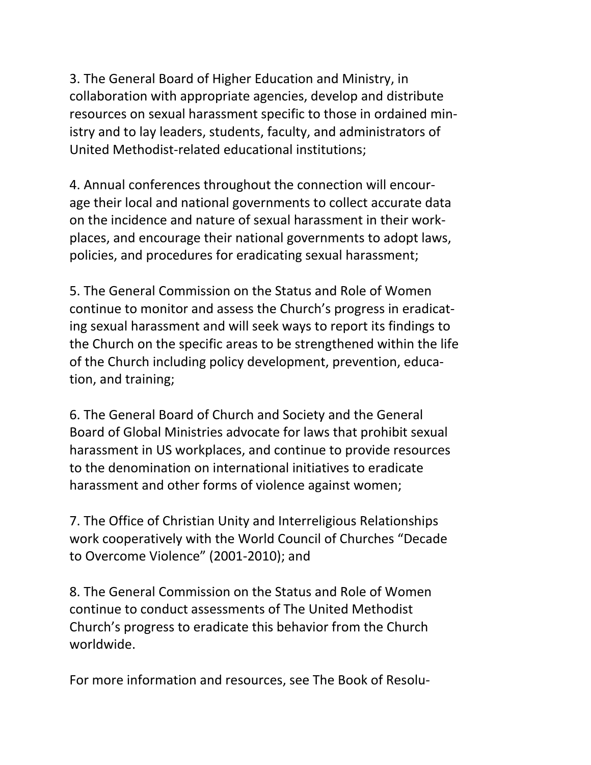3. The General Board of Higher Education and Ministry, in collaboration with appropriate agencies, develop and distribute resources on sexual harassment specific to those in ordained ministry and to lay leaders, students, faculty, and administrators of United Methodist-related educational institutions;

4. Annual conferences throughout the connection will encourage their local and national governments to collect accurate data on the incidence and nature of sexual harassment in their workplaces, and encourage their national governments to adopt laws, policies, and procedures for eradicating sexual harassment;

5. The General Commission on the Status and Role of Women continue to monitor and assess the Church's progress in eradicating sexual harassment and will seek ways to report its findings to the Church on the specific areas to be strengthened within the life of the Church including policy development, prevention, education, and training;

6. The General Board of Church and Society and the General Board of Global Ministries advocate for laws that prohibit sexual harassment in US workplaces, and continue to provide resources to the denomination on international initiatives to eradicate harassment and other forms of violence against women;

7. The Office of Christian Unity and Interreligious Relationships work cooperatively with the World Council of Churches "Decade to Overcome Violence" (2001-2010); and

8. The General Commission on the Status and Role of Women continue to conduct assessments of The United Methodist Church's progress to eradicate this behavior from the Church worldwide.

For more information and resources, see The Book of Resolu-